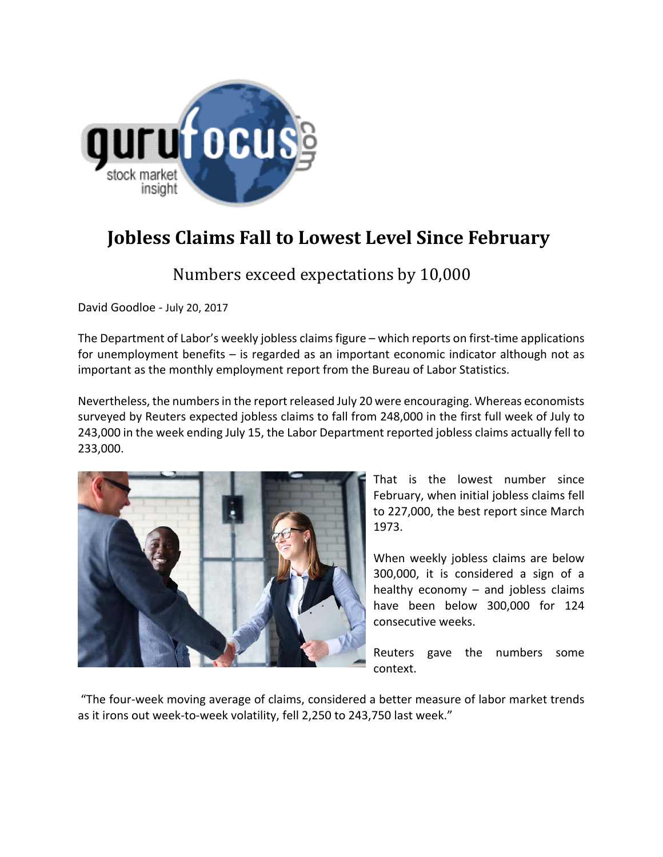

## **Jobless Claims Fall to Lowest Level Since February**

Numbers exceed expectations by 10,000

David Goodloe ‐ July 20, 2017

The Department of Labor's weekly jobless claims figure – which reports on first-time applications for unemployment benefits – is regarded as an important economic indicator although not as important as the monthly employment report from the Bureau of Labor Statistics.

Nevertheless, the numbers in the report released July 20 were encouraging. Whereas economists surveyed by Reuters expected jobless claims to fall from 248,000 in the first full week of July to 243,000 in the week ending July 15, the Labor Department reported jobless claims actually fell to 233,000.



That is the lowest number since February, when initial jobless claims fell to 227,000, the best report since March 1973.

When weekly jobless claims are below 300,000, it is considered a sign of a healthy economy – and jobless claims have been below 300,000 for 124 consecutive weeks.

Reuters gave the numbers some context.

"The four‐week moving average of claims, considered a better measure of labor market trends as it irons out week-to-week volatility, fell 2,250 to 243,750 last week."